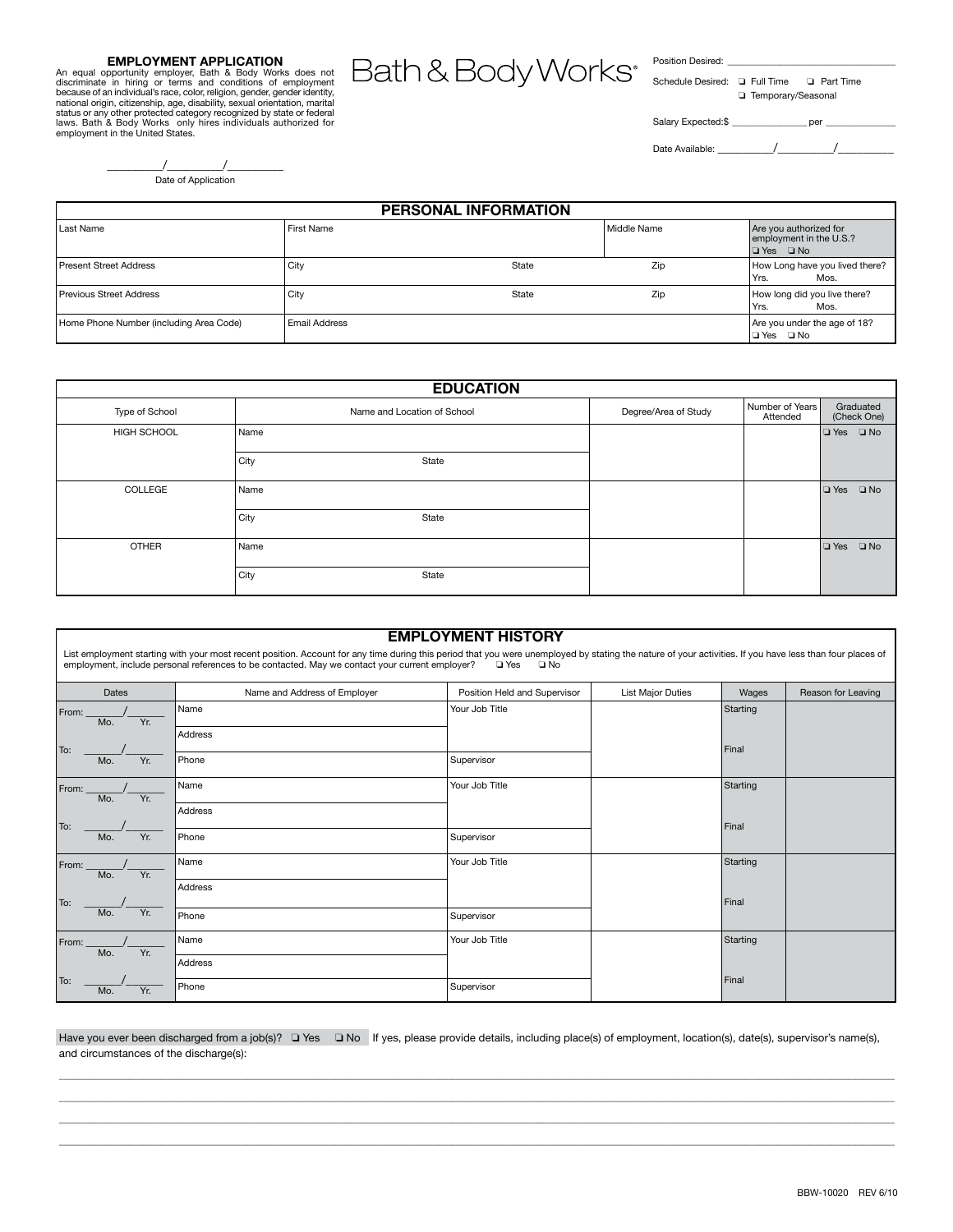#### **Employment Application**

An equal opportunity employer, Bath & Body Works does not<br>discriminate in hiring or terms and conditions of employment<br>because of an individual's race, color, religion, gender, gender identity,<br>national origin, citizenship status or any other protected category recognized by state or federal laws. Bath & Body Works only hires individuals authorized for employment in the United States.

Bath & Body Works<sup>®</sup>

Position Desired: \_\_\_\_\_\_\_\_\_\_\_\_\_\_\_\_\_\_\_\_\_\_\_\_\_\_\_\_\_\_\_\_\_\_\_\_

| Schedule Desired: Q Full Time |                      | <b>D</b> Part Time |
|-------------------------------|----------------------|--------------------|
|                               | □ Temporary/Seasonal |                    |
|                               |                      |                    |
| Salary Expected:\$            |                      | per                |

Date Available: \_\_\_\_\_\_\_\_\_/\_\_\_\_\_\_\_\_\_/\_\_\_\_\_\_\_\_\_

| Date of Application |
|---------------------|

| <b>PERSONAL INFORMATION</b>             |               |       |             |                                                                           |
|-----------------------------------------|---------------|-------|-------------|---------------------------------------------------------------------------|
| Last Name                               | First Name    |       | Middle Name | Are you authorized for<br>employment in the U.S.?<br>$\Box$ Yes $\Box$ No |
| <b>Present Street Address</b>           | City          | State | Zip         | How Long have you lived there?<br>Yrs.<br>Mos.                            |
| <b>Previous Street Address</b>          | City          | State | Zip         | How long did you live there?<br>Yrs.<br>Mos.                              |
| Home Phone Number (including Area Code) | Email Address |       |             | Are you under the age of 18?<br>l⊟Yes ⊟No                                 |

|                | <b>EDUCATION</b>            |                      |                             |                            |  |
|----------------|-----------------------------|----------------------|-----------------------------|----------------------------|--|
| Type of School | Name and Location of School | Degree/Area of Study | Number of Years<br>Attended | Graduated<br>(Check One)   |  |
| HIGH SCHOOL    | Name                        |                      |                             | $\Box$ No<br>l ⊒ Yes       |  |
|                | City<br>State               |                      |                             |                            |  |
| COLLEGE        | Name                        |                      |                             | $\square$ No<br>$\Box$ Yes |  |
|                | City<br>State               |                      |                             |                            |  |
| <b>OTHER</b>   | Name                        |                      |                             | $\square$ No<br>$\Box$ Yes |  |
|                | City<br>State               |                      |                             |                            |  |

| <b>EMPLOYMENT HISTORY</b>                                                                                                                                                                                                                                                                                                           |                              |                              |                          |          |                    |  |
|-------------------------------------------------------------------------------------------------------------------------------------------------------------------------------------------------------------------------------------------------------------------------------------------------------------------------------------|------------------------------|------------------------------|--------------------------|----------|--------------------|--|
| List employment starting with your most recent position. Account for any time during this period that you were unemployed by stating the nature of your activities. If you have less than four places of<br>employment, include personal references to be contacted. May we contact your current employer?<br>□ Yes<br>$\square$ No |                              |                              |                          |          |                    |  |
| Dates                                                                                                                                                                                                                                                                                                                               | Name and Address of Employer | Position Held and Supervisor | <b>List Major Duties</b> | Wages    | Reason for Leaving |  |
| From:<br>Yr.<br>Mo.                                                                                                                                                                                                                                                                                                                 | Name                         | Your Job Title               |                          | Starting |                    |  |
| To:                                                                                                                                                                                                                                                                                                                                 | Address                      |                              |                          | Final    |                    |  |
| Yr.<br>Mo.                                                                                                                                                                                                                                                                                                                          | Phone                        | Supervisor                   |                          |          |                    |  |
| From:<br>Mo.<br>Yr.                                                                                                                                                                                                                                                                                                                 | Name                         | Your Job Title               |                          | Starting |                    |  |
|                                                                                                                                                                                                                                                                                                                                     | Address                      |                              |                          | Final    |                    |  |
| To:<br>Yr.<br>Mo.                                                                                                                                                                                                                                                                                                                   | Phone                        | Supervisor                   |                          |          |                    |  |
| From:<br>Yr.<br>Mo.                                                                                                                                                                                                                                                                                                                 | Name                         | Your Job Title               |                          | Starting |                    |  |
|                                                                                                                                                                                                                                                                                                                                     | Address                      |                              |                          | Final    |                    |  |
| To:<br>Yr.<br>Mo.                                                                                                                                                                                                                                                                                                                   | Phone                        | Supervisor                   |                          |          |                    |  |
| From:<br>Yr.<br>Mo.                                                                                                                                                                                                                                                                                                                 | Name                         | Your Job Title               |                          | Starting |                    |  |
|                                                                                                                                                                                                                                                                                                                                     | Address                      |                              |                          |          |                    |  |
| To:<br>Yr.<br>Mo.                                                                                                                                                                                                                                                                                                                   | Phone                        | Supervisor                   |                          | Final    |                    |  |

Have you ever been discharged from a job(s)? Thes Tho If yes, please provide details, including place(s) of employment, location(s), date(s), supervisor's name(s), and circumstances of the discharge(s):

\_\_\_\_\_\_\_\_\_\_\_\_\_\_\_\_\_\_\_\_\_\_\_\_\_\_\_\_\_\_\_\_\_\_\_\_\_\_\_\_\_\_\_\_\_\_\_\_\_\_\_\_\_\_\_\_\_\_\_\_\_\_\_\_\_\_\_\_\_\_\_\_\_\_\_\_\_\_\_\_\_\_\_\_\_\_\_\_\_\_\_\_\_\_\_\_\_\_\_\_\_\_\_\_\_\_\_\_\_\_\_\_\_\_\_\_\_\_\_\_\_\_\_\_\_\_\_\_\_\_\_\_\_\_\_\_\_\_\_\_\_\_\_\_\_\_\_\_\_\_\_\_\_\_\_\_\_\_\_\_\_\_\_\_\_\_\_\_\_\_\_\_\_\_\_\_\_\_\_ \_\_\_\_\_\_\_\_\_\_\_\_\_\_\_\_\_\_\_\_\_\_\_\_\_\_\_\_\_\_\_\_\_\_\_\_\_\_\_\_\_\_\_\_\_\_\_\_\_\_\_\_\_\_\_\_\_\_\_\_\_\_\_\_\_\_\_\_\_\_\_\_\_\_\_\_\_\_\_\_\_\_\_\_\_\_\_\_\_\_\_\_\_\_\_\_\_\_\_\_\_\_\_\_\_\_\_\_\_\_\_\_\_\_\_\_\_\_\_\_\_\_\_\_\_\_\_\_\_\_\_\_\_\_\_\_\_\_\_\_\_\_\_\_\_\_\_\_\_\_\_\_\_\_\_\_\_\_\_\_\_\_\_\_\_\_\_\_\_\_\_\_\_\_\_\_\_\_\_ \_\_\_\_\_\_\_\_\_\_\_\_\_\_\_\_\_\_\_\_\_\_\_\_\_\_\_\_\_\_\_\_\_\_\_\_\_\_\_\_\_\_\_\_\_\_\_\_\_\_\_\_\_\_\_\_\_\_\_\_\_\_\_\_\_\_\_\_\_\_\_\_\_\_\_\_\_\_\_\_\_\_\_\_\_\_\_\_\_\_\_\_\_\_\_\_\_\_\_\_\_\_\_\_\_\_\_\_\_\_\_\_\_\_\_\_\_\_\_\_\_\_\_\_\_\_\_\_\_\_\_\_\_\_\_\_\_\_\_\_\_\_\_\_\_\_\_\_\_\_\_\_\_\_\_\_\_\_\_\_\_\_\_\_\_\_\_\_\_\_\_\_\_\_\_\_\_\_\_ \_\_\_\_\_\_\_\_\_\_\_\_\_\_\_\_\_\_\_\_\_\_\_\_\_\_\_\_\_\_\_\_\_\_\_\_\_\_\_\_\_\_\_\_\_\_\_\_\_\_\_\_\_\_\_\_\_\_\_\_\_\_\_\_\_\_\_\_\_\_\_\_\_\_\_\_\_\_\_\_\_\_\_\_\_\_\_\_\_\_\_\_\_\_\_\_\_\_\_\_\_\_\_\_\_\_\_\_\_\_\_\_\_\_\_\_\_\_\_\_\_\_\_\_\_\_\_\_\_\_\_\_\_\_\_\_\_\_\_\_\_\_\_\_\_\_\_\_\_\_\_\_\_\_\_\_\_\_\_\_\_\_\_\_\_\_\_\_\_\_\_\_\_\_\_\_\_\_\_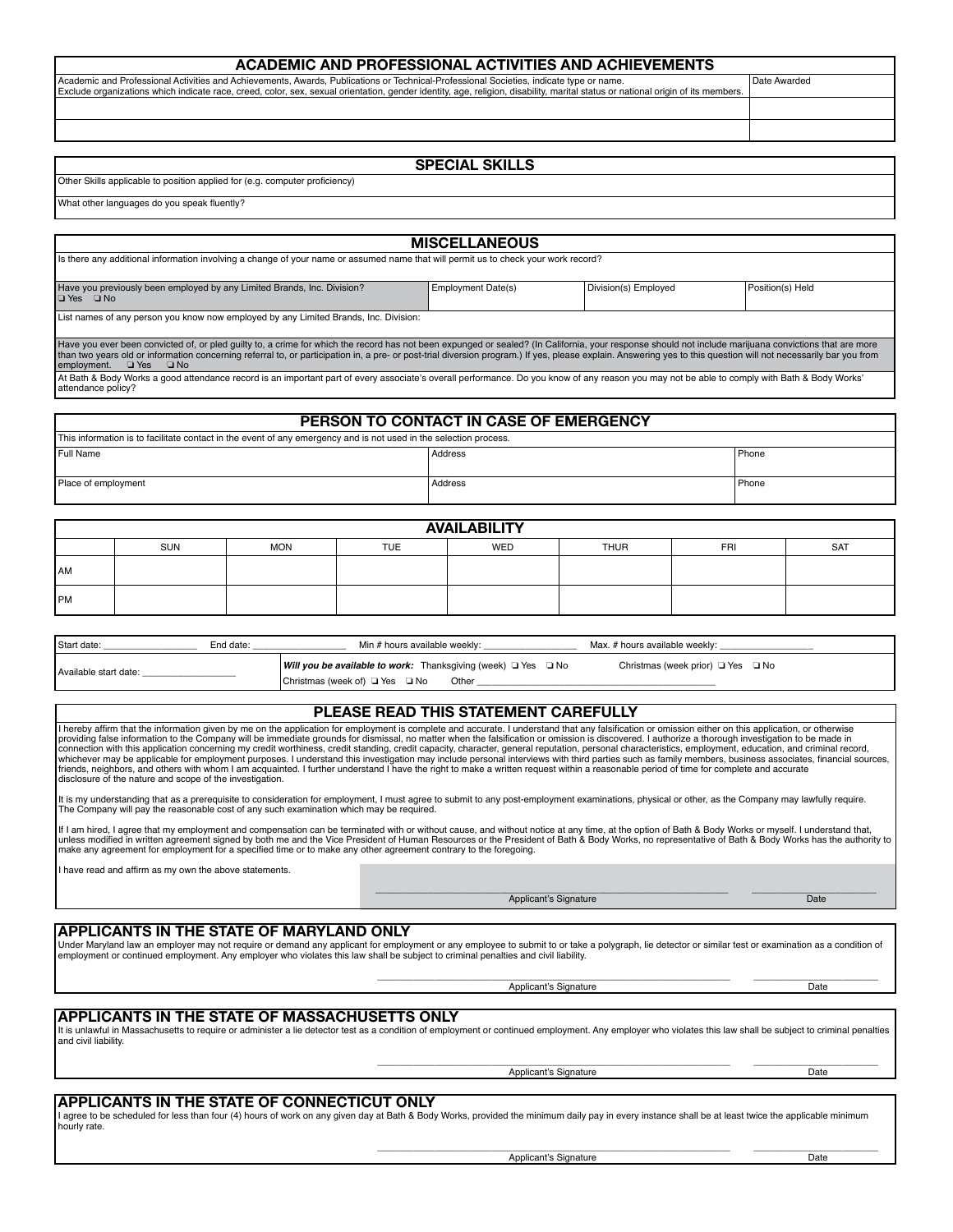| ACADEMIC AND PROFESSIONAL ACTIVITIES AND ACHIEVEMENTS                                                                                                                                                                                                                                                                      |              |
|----------------------------------------------------------------------------------------------------------------------------------------------------------------------------------------------------------------------------------------------------------------------------------------------------------------------------|--------------|
| Academic and Professional Activities and Achievements, Awards, Publications or Technical-Professional Societies, indicate type or name.<br>Exclude organizations which indicate race, creed, color, sex, sexual orientation, gender identity, age, religion, disability, marital status or national origin of its members. | Date Awarded |
|                                                                                                                                                                                                                                                                                                                            |              |
|                                                                                                                                                                                                                                                                                                                            |              |

### **Special Skills**

#### Other Skills applicable to position applied for (e.g. computer proficiency)

What other languages do you speak fluently?

|                                                                                                                                                                                                                                                                                                                                                                                                                                                                      | <b>MISCELLANEOUS</b>                   |                      |                  |
|----------------------------------------------------------------------------------------------------------------------------------------------------------------------------------------------------------------------------------------------------------------------------------------------------------------------------------------------------------------------------------------------------------------------------------------------------------------------|----------------------------------------|----------------------|------------------|
| Is there any additional information involving a change of your name or assumed name that will permit us to check your work record?                                                                                                                                                                                                                                                                                                                                   |                                        |                      |                  |
|                                                                                                                                                                                                                                                                                                                                                                                                                                                                      |                                        |                      |                  |
| Have you previously been employed by any Limited Brands, Inc. Division?<br>l⊡ Yes □ No                                                                                                                                                                                                                                                                                                                                                                               | Employment Date(s)                     | Division(s) Employed | Position(s) Held |
| List names of any person you know now employed by any Limited Brands, Inc. Division:                                                                                                                                                                                                                                                                                                                                                                                 |                                        |                      |                  |
| Have you ever been convicted of, or pled guilty to, a crime for which the record has not been expunged or sealed? (In California, your response should not include marijuana convictions that are more<br>than two years old or information concerning referral to, or participation in, a pre- or post-trial diversion program.) If yes, please explain. Answering yes to this question will not necessarily bar you from<br>employment.<br>$\Box$ Yes<br>$\Box$ No |                                        |                      |                  |
| At Bath & Body Works a good attendance record is an important part of every associate's overall performance. Do you know of any reason you may not be able to comply with Bath & Body Works'<br>attendance policy?                                                                                                                                                                                                                                                   |                                        |                      |                  |
|                                                                                                                                                                                                                                                                                                                                                                                                                                                                      |                                        |                      |                  |
|                                                                                                                                                                                                                                                                                                                                                                                                                                                                      | PERSON TO CONTACT IN CASE OF EMERGENCY |                      |                  |
| This information is to facilitate contact in the event of any emergency and is not used in the selection process.                                                                                                                                                                                                                                                                                                                                                    |                                        |                      |                  |
| Full Name                                                                                                                                                                                                                                                                                                                                                                                                                                                            | Address                                |                      | Phone            |
| Place of employment                                                                                                                                                                                                                                                                                                                                                                                                                                                  | Address                                |                      | Phone            |

| <b>AVAILABILITY</b> |     |            |            |     |             |     |            |
|---------------------|-----|------------|------------|-----|-------------|-----|------------|
|                     | SUN | <b>MON</b> | <b>TUE</b> | WED | <b>THUR</b> | FRI | <b>SAT</b> |
| <b>AM</b>           |     |            |            |     |             |     |            |
| <b>PM</b>           |     |            |            |     |             |     |            |

| Start date:           | End date: | Min # hours available weekly:                                                  | Max. # hours available weekly:              |
|-----------------------|-----------|--------------------------------------------------------------------------------|---------------------------------------------|
| Available start date: |           | <b>Will you be available to work:</b> Thanksgiving (week) $\Box$ Yes $\Box$ No | Christmas (week prior) $\Box$ Yes $\Box$ No |
|                       |           | Christmas (week of) □ Yes □ No<br>Other                                        |                                             |

#### **Please read this statement carefully**

I hereby affirm that the information given by me on the application for employment is complete and accurate. I understand that any falsification or omission either on this application, or otherwise providing false information to the Company will be immediate grounds for dismissal, no matter when the falsification or omission is discovered. I authorize a thorough investigation to be made in connection with this application concerning my credit worthiness, credit standing, credit capacity, character, general reputation, personal characteristics, employment, education, and criminal record,<br>whichever may be appl disclosure of the nature and scope of the investigation.

It is my understanding that as a prerequisite to consideration for employment, I must agree to submit to any post-employment examinations, physical or other, as the Company may lawfully require.<br>The Company will pay the re

If I am hired, I agree that my employment and compensation can be terminated with or without cause, and without notice at any time, at the option of Bath & Body Works or myself. I understand that, unless modified in written agreement signed by both me and the Vice President of Human Resources or the President of Bath & Body Works, no representative of Bath & Body Works has the authority to<br>make any agreement for emp

I have read and affirm as my own the above statements.

 $\overline{\phantom{a}}$  , and the contribution of the contribution of the contribution of the contribution of the contribution of the contribution of the contribution of the contribution of the contribution of the contribution of the Applicant's Signature Date

Applicant's Signature Date

#### **APPLICANTS IN THE STATE OF MARYLAND ONLY**

Under Maryland law an employer may not require or demand any applicant for employment or any employee to submit to or take a polygraph, lie detector or similar test or examination as a condition of employment or continued employment. Any employer who violates this law shall be subject to criminal penalties and civil liability. \_\_\_\_\_\_\_\_\_\_\_\_\_\_\_\_\_\_\_\_\_\_\_\_\_\_\_\_\_\_\_\_\_\_\_\_\_\_\_\_\_\_\_\_\_\_\_\_\_\_\_\_\_\_\_\_\_\_\_\_\_\_\_\_\_\_\_\_ \_\_\_\_\_\_\_\_\_\_\_\_\_\_\_\_\_\_\_\_\_\_\_\_

**APPLICANTS IN THE STATE OF Massachusetts ONLY**

It is unlawful in Massachusetts to require or administer a lie detector test as a condition of employment or continued employment. Any employer who violates this law shall be subject to criminal penalties and civil liability. \_\_\_\_\_\_\_\_\_\_\_\_\_\_\_\_\_\_\_\_\_\_\_\_\_\_\_\_\_\_\_\_\_\_\_\_\_\_\_\_\_\_\_\_\_\_\_\_\_\_\_\_\_\_\_\_\_\_\_\_\_\_\_\_\_\_\_\_ \_\_\_\_\_\_\_\_\_\_\_\_\_\_\_\_\_\_\_\_\_\_\_\_

Applicant's Signature Date

## **APPLICANTS IN THE STATE OF connecticut ONLY**

I agree to be scheduled for less than four (4) hours of work on any given day at Bath & Body Works, provided the minimum daily pay in every instance shall be at least twice the applicable minimum hourly rate.

Applicant's Signature Date

 $\Box$  , and the state of the state of the state of the state of the state of the state of the state of the state of the state of the state of the state of the state of the state of the state of the state of the state of th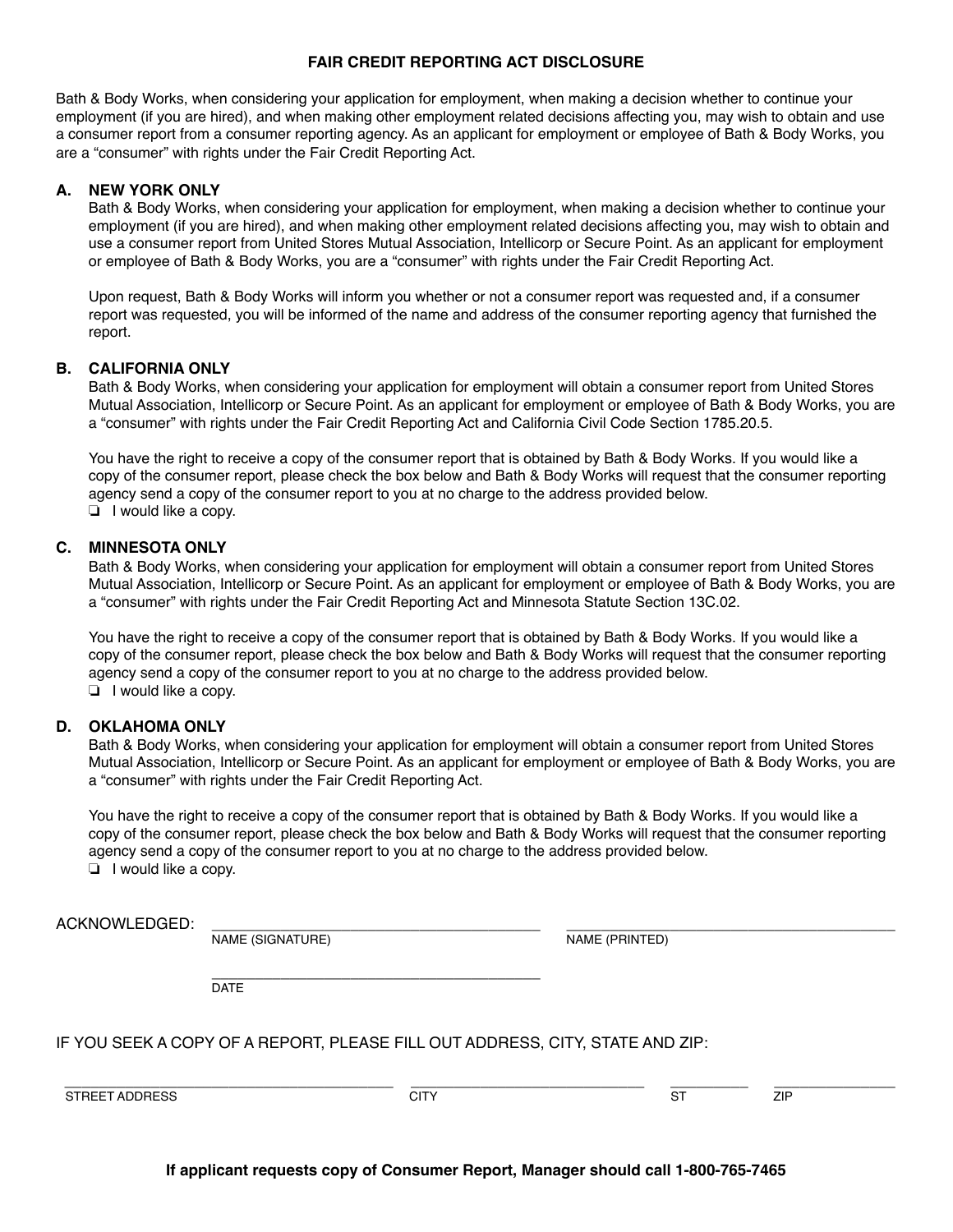### **Fair Credit Reporting Act Disclosure**

Bath & Body Works, when considering your application for employment, when making a decision whether to continue your employment (if you are hired), and when making other employment related decisions affecting you, may wish to obtain and use a consumer report from a consumer reporting agency. As an applicant for employment or employee of Bath & Body Works, you are a "consumer" with rights under the Fair Credit Reporting Act.

## **A. NEW YORK ONLY**

Bath & Body Works, when considering your application for employment, when making a decision whether to continue your employment (if you are hired), and when making other employment related decisions affecting you, may wish to obtain and use a consumer report from United Stores Mutual Association, Intellicorp or Secure Point. As an applicant for employment or employee of Bath & Body Works, you are a "consumer" with rights under the Fair Credit Reporting Act.

Upon request, Bath & Body Works will inform you whether or not a consumer report was requested and, if a consumer report was requested, you will be informed of the name and address of the consumer reporting agency that furnished the report.

## **B. CALIFORNIA ONLY**

Bath & Body Works, when considering your application for employment will obtain a consumer report from United Stores Mutual Association, Intellicorp or Secure Point. As an applicant for employment or employee of Bath & Body Works, you are a "consumer" with rights under the Fair Credit Reporting Act and California Civil Code Section 1785.20.5.

You have the right to receive a copy of the consumer report that is obtained by Bath & Body Works. If you would like a copy of the consumer report, please check the box below and Bath & Body Works will request that the consumer reporting agency send a copy of the consumer report to you at no charge to the address provided below.  $\Box$  I would like a copy.

### **C. MINNESOTA ONLY**

Bath & Body Works, when considering your application for employment will obtain a consumer report from United Stores Mutual Association, Intellicorp or Secure Point. As an applicant for employment or employee of Bath & Body Works, you are a "consumer" with rights under the Fair Credit Reporting Act and Minnesota Statute Section 13C.02.

You have the right to receive a copy of the consumer report that is obtained by Bath & Body Works. If you would like a copy of the consumer report, please check the box below and Bath & Body Works will request that the consumer reporting agency send a copy of the consumer report to you at no charge to the address provided below.  $\Box$  I would like a copy.

## **D. OKLAHOMA ONLY**

Bath & Body Works, when considering your application for employment will obtain a consumer report from United Stores Mutual Association, Intellicorp or Secure Point. As an applicant for employment or employee of Bath & Body Works, you are a "consumer" with rights under the Fair Credit Reporting Act.

You have the right to receive a copy of the consumer report that is obtained by Bath & Body Works. If you would like a copy of the consumer report, please check the box below and Bath & Body Works will request that the consumer reporting agency send a copy of the consumer report to you at no charge to the address provided below.  $\overline{\mathsf{u}}$  I would like a copy.

| ACKNOWLEDGED:  | NAME (SIGNATURE)                                                              |      | NAME (PRINTED) |            |
|----------------|-------------------------------------------------------------------------------|------|----------------|------------|
|                | <b>DATE</b>                                                                   |      |                |            |
|                | IF YOU SEEK A COPY OF A REPORT, PLEASE FILL OUT ADDRESS, CITY, STATE AND ZIP: |      |                |            |
| STREET ADDRESS |                                                                               | CITY | ST             | <b>ZIP</b> |